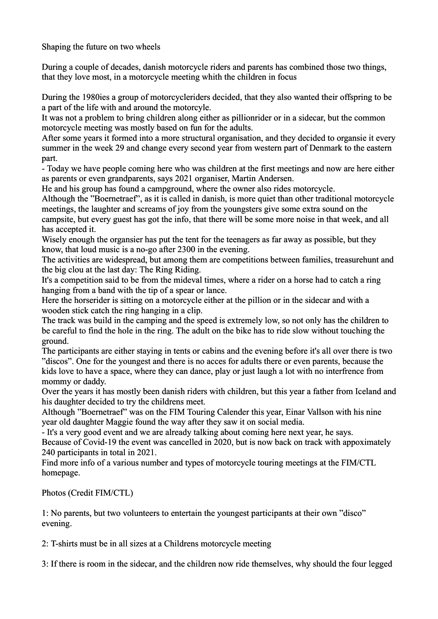Shaping the future on two wheels

During a couple of decades, danish motorcycle riders and parents has combined those two things, that they love most, in a motorcycle meeting whith the children in focus

During the 1980ies a group of motorcycleriders decided, that they also wanted their offspring to be a part of the life with and around the motorcyle.

It was not a problem to bring children along either as pillionrider or in a sidecar, but the common motorcycle meeting was mostly based on fun for the adults.

After some years it formed into a more structural organisation, and they decided to organsie it every summer in the week 29 and change every second year from western part of Denmark to the eastern part.

- Today we have people coming here who was children at the first meetings and now are here either as parents or even grandparents, says 2021 organiser, Martin Andersen.

He and his group has found a campground, where the owner also rides motorcycle.

Although the "Boernetraef", as it is called in danish, is more quiet than other traditional motorcycle meetings, the laughter and screams of joy from the youngsters give some extra sound on the campsite, but every guest has got the info, that there will be some more noise in that week, and all has accepted it.

Wisely enough the organsier has put the tent for the teenagers as far away as possible, but they know, that loud music is a no-go after 2300 in the evening.

The activities are widespread, but among them are competitions between families, treasurehunt and the big clou at the last day: The Ring Riding.

It's a competition said to be from the mideval times, where a rider on a horse had to catch a ring hanging from a band with the tip of a spear or lance.

Here the horserider is sitting on a motorcycle either at the pillion or in the sidecar and with a wooden stick catch the ring hanging in a clip.

The track was build in the camping and the speed is extremely low, so not only has the children to be careful to find the hole in the ring. The adult on the bike has to ride slow without touching the ground.

The participants are either staying in tents or cabins and the evening before it's all over there is two "discos". One for the youngest and there is no acces for adults there or even parents, because the kids love to have a space, where they can dance, play or just laugh a lot with no interfrence from mommy or daddy.

Over the years it has mostly been danish riders with children, but this year a father from Iceland and his daughter decided to try the childrens meet.

Although "Boernetraef" was on the FIM Touring Calender this year, Einar Vallson with his nine year old daughter Maggie found the way after they saw it on social media.

- It's a very good event and we are already talking about coming here next year, he says.

Because of Covid-19 the event was cancelled in 2020, but is now back on track with appoximately 240 participants in total in 2021.

Find more info of a various number and types of motorcycle touring meetings at the FIM/CTL homepage.

Photos (Credit FIM/CTL)

1: No parents, but two volunteers to entertain the youngest participants at their own "disco" evening.

2: T-shirts must be in all sizes at a Childrens motorcycle meeting

3: If there is room in the sidecar, and the children now ride themselves, why should the four legged